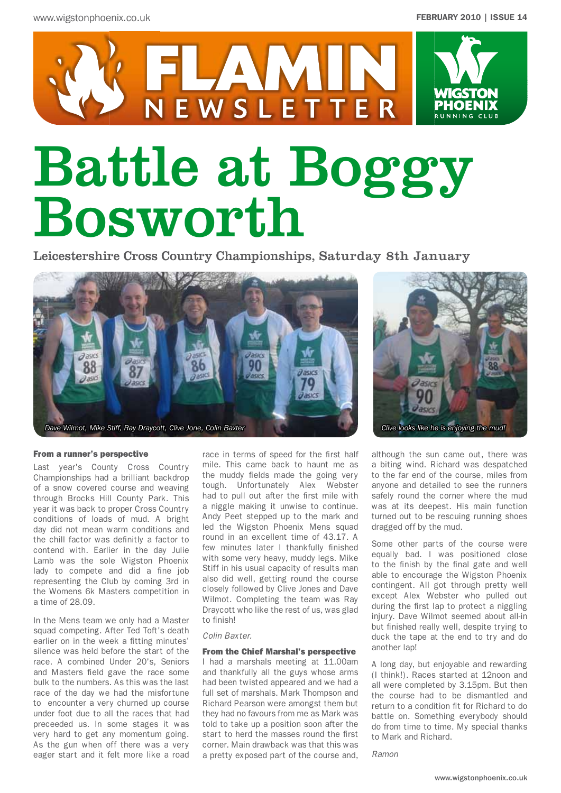

# Battle at Boggy Bosworth

Leicestershire Cross Country Championships, Saturday 8th January

![](_page_0_Picture_5.jpeg)

#### From a runner's perspective

Last year's County Cross Country Championships had a brilliant backdrop of a snow covered course and weaving through Brocks Hill County Park. This year it was back to proper Cross Country conditions of loads of mud. A bright day did not mean warm conditions and the chill factor was definitly a factor to contend with. Earlier in the day Julie Lamb was the sole Wigston Phoenix lady to compete and did a fine job representing the Club by coming 3rd in the Womens 6k Masters competition in a time of 28.09.

In the Mens team we only had a Master squad competing. After Ted Toft's death earlier on in the week a fitting minutes' silence was held before the start of the race. A combined Under 20's, Seniors and Masters field gave the race some bulk to the numbers. As this was the last race of the day we had the misfortune to encounter a very churned up course under foot due to all the races that had preceeded us. In some stages it was very hard to get any momentum going. As the gun when off there was a very eager start and it felt more like a road

race in terms of speed for the first half mile. This came back to haunt me as the muddy fields made the going very tough. Unfortunately Alex Webster had to pull out after the first mile with a niggle making it unwise to continue. Andy Peet stepped up to the mark and led the Wigston Phoenix Mens squad round in an excellent time of 43.17. A few minutes later I thankfully finished with some very heavy, muddy legs. Mike Stiff in his usual capacity of results man also did well, getting round the course closely followed by Clive Jones and Dave Wilmot. Completing the team was Ray Draycott who like the rest of us, was glad to finish!

#### *Colin Baxter.*

#### From the Chief Marshal's perspective

I had a marshals meeting at 11.00am and thankfully all the guys whose arms had been twisted appeared and we had a full set of marshals. Mark Thompson and Richard Pearson were amongst them but they had no favours from me as Mark was told to take up a position soon after the start to herd the masses round the first corner. Main drawback was that this was a pretty exposed part of the course and,

![](_page_0_Picture_13.jpeg)

although the sun came out, there was a biting wind. Richard was despatched to the far end of the course, miles from anyone and detailed to see the runners safely round the corner where the mud was at its deepest. His main function turned out to be rescuing running shoes dragged off by the mud.

Some other parts of the course were equally bad. I was positioned close to the finish by the final gate and well able to encourage the Wigston Phoenix contingent. All got through pretty well except Alex Webster who pulled out during the first lap to protect a niggling injury. Dave Wilmot seemed about all-in but finished really well, despite trying to duck the tape at the end to try and do another lap!

A long day, but enjoyable and rewarding (I think!). Races started at 12noon and all were completed by 3.15pm. But then the course had to be dismantled and return to a condition fit for Richard to do battle on. Something everybody should do from time to time. My special thanks to Mark and Richard.

*Ramon*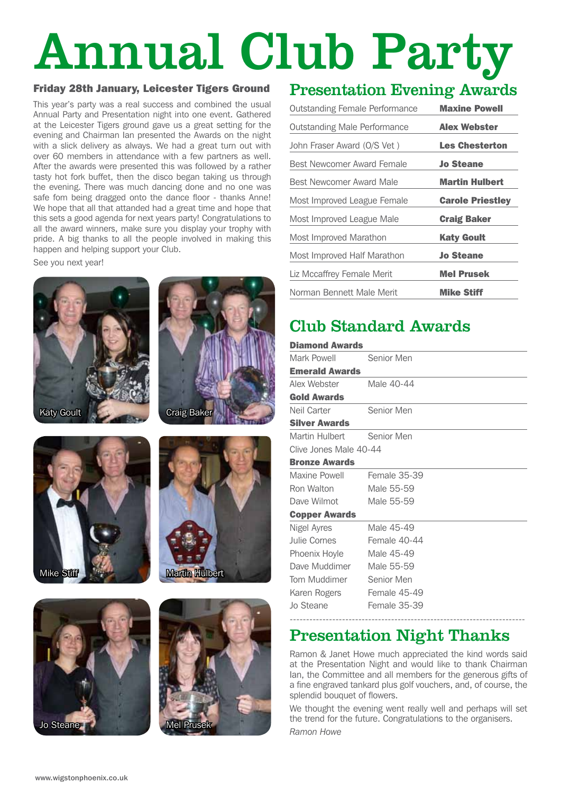# Annual Club Party

#### Friday 28th January, Leicester Tigers Ground

This year's party was a real success and combined the usual Annual Party and Presentation night into one event. Gathered at the Leicester Tigers ground gave us a great setting for the evening and Chairman Ian presented the Awards on the night with a slick delivery as always. We had a great turn out with over 60 members in attendance with a few partners as well. After the awards were presented this was followed by a rather tasty hot fork buffet, then the disco began taking us through the evening. There was much dancing done and no one was safe fom being dragged onto the dance floor - thanks Anne! We hope that all that attanded had a great time and hope that this sets a good agenda for next years party! Congratulations to all the award winners, make sure you display your trophy with pride. A big thanks to all the people involved in making this happen and helping support your Club.

See you next year!

![](_page_1_Picture_4.jpeg)

![](_page_1_Picture_5.jpeg)

![](_page_1_Picture_6.jpeg)

![](_page_1_Picture_7.jpeg)

![](_page_1_Picture_8.jpeg)

![](_page_1_Picture_9.jpeg)

# Presentation Evening Awards

| <b>Outstanding Female Performance</b> | <b>Maxine Powell</b>    |
|---------------------------------------|-------------------------|
| <b>Outstanding Male Performance</b>   | <b>Alex Webster</b>     |
| John Fraser Award (O/S Vet)           | <b>Les Chesterton</b>   |
| Best Newcomer Award Female            | <b>Jo Steane</b>        |
| Best Newcomer Award Male              | <b>Martin Hulbert</b>   |
| Most Improved League Female           | <b>Carole Priestley</b> |
| Most Improved League Male             | <b>Craig Baker</b>      |
| Most Improved Marathon                | Katy Goult              |
| Most Improved Half Marathon           | <b>Jo Steane</b>        |
| Liz Mccaffrey Female Merit            | <b>Mel Prusek</b>       |
| Norman Bennett Male Merit             | <b>Mike Stiff</b>       |

# Club Standard Awards

| <b>Diamond Awards</b>     |                     |  |
|---------------------------|---------------------|--|
| Mark Powell               | Senior Men          |  |
| <b>Emerald Awards</b>     |                     |  |
| Alex Webster              | Male 40-44          |  |
| <b>Gold Awards</b>        |                     |  |
| Neil Carter               | Senior Men          |  |
| <b>Silver Awards</b>      |                     |  |
| Martin Hulbert Senior Men |                     |  |
| Clive Jones Male 40-44    |                     |  |
| <b>Bronze Awards</b>      |                     |  |
| Maxine Powell             | <b>Female 35-39</b> |  |
| Ron Walton                | Male 55-59          |  |
| Dave Wilmot               | Male 55-59          |  |
| <b>Copper Awards</b>      |                     |  |
| Nigel Ayres               | Male 45-49          |  |
| Julie Cornes              | Female 40-44        |  |
| Phoenix Hoyle             | Male 45-49          |  |
| Dave Muddimer             | Male 55-59          |  |
| Tom Muddimer Senior Men   |                     |  |
| Karen Rogers Female 45-49 |                     |  |
| Jo Steane                 | Female 35-39        |  |
|                           |                     |  |

## Presentation Night Thanks

Ramon & Janet Howe much appreciated the kind words said at the Presentation Night and would like to thank Chairman Ian, the Committee and all members for the generous gifts of a fine engraved tankard plus golf vouchers, and, of course, the splendid bouquet of flowers.

We thought the evening went really well and perhaps will set the trend for the future. Congratulations to the organisers.

*Ramon Howe*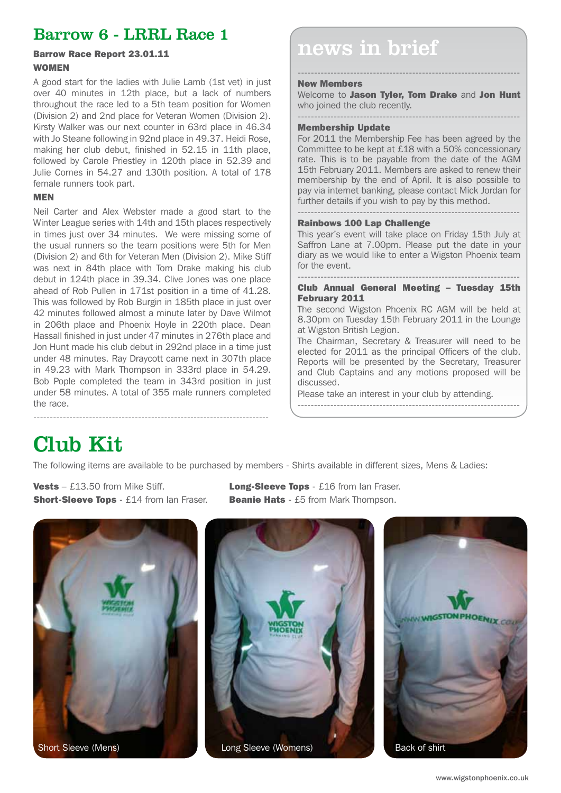## Barrow 6 - LRRL Race 1

# WOMEN

A good start for the ladies with Julie Lamb (1st vet) in just over 40 minutes in 12th place, but a lack of numbers throughout the race led to a 5th team position for Women (Division 2) and 2nd place for Veteran Women (Division 2). Kirsty Walker was our next counter in 63rd place in 46.34 with Jo Steane following in 92nd place in 49.37. Heidi Rose, making her club debut, finished in 52.15 in 11th place, followed by Carole Priestley in 120th place in 52.39 and Julie Cornes in 54.27 and 130th position. A total of 178 female runners took part.

#### MEN

Neil Carter and Alex Webster made a good start to the Winter League series with 14th and 15th places respectively in times just over 34 minutes. We were missing some of the usual runners so the team positions were 5th for Men (Division 2) and 6th for Veteran Men (Division 2). Mike Stiff was next in 84th place with Tom Drake making his club debut in 124th place in 39.34. Clive Jones was one place ahead of Rob Pullen in 171st position in a time of 41.28. This was followed by Rob Burgin in 185th place in just over 42 minutes followed almost a minute later by Dave Wilmot in 206th place and Phoenix Hoyle in 220th place. Dean Hassall finished in just under 47 minutes in 276th place and Jon Hunt made his club debut in 292nd place in a time just under 48 minutes. Ray Draycott came next in 307th place in 49.23 with Mark Thompson in 333rd place in 54.29. Bob Pople completed the team in 343rd position in just under 58 minutes. A total of 355 male runners completed the race.

# $Barrow$  Race Report 23.01.11  $\vert$  news in brief

#### New Members

Welcome to **Jason Tyler, Tom Drake** and **Jon Hunt** who joined the club recently.

--------------------------------------------------------------------

#### -------------------------------------------------------------------- Membership Update

For 2011 the Membership Fee has been agreed by the Committee to be kept at £18 with a 50% concessionary rate. This is to be payable from the date of the AGM 15th February 2011. Members are asked to renew their membership by the end of April. It is also possible to pay via internet banking, please contact Mick Jordan for further details if you wish to pay by this method. --------------------------------------------------------------------

#### Rainbows 100 Lap Challenge

This year's event will take place on Friday 15th July at Saffron Lane at 7.00pm. Please put the date in your diary as we would like to enter a Wigston Phoenix team for the event.

#### -------------------------------------------------------------------- Club Annual General Meeting – Tuesday 15th February 2011

The second Wigston Phoenix RC AGM will be held at 8.30pm on Tuesday 15th February 2011 in the Lounge at Wigston British Legion.

The Chairman, Secretary & Treasurer will need to be elected for 2011 as the principal Officers of the club. Reports will be presented by the Secretary, Treasurer and Club Captains and any motions proposed will be discussed.

--------------------------------------------------------------------

Please take an interest in your club by attending.

# Club Kit

The following items are available to be purchased by members - Shirts available in different sizes, Mens & Ladies:

**Short-Sleeve Tops** - £14 from Ian Fraser. Beanie Hats - £5 from Mark Thompson.

**Vests** – £13.50 from Mike Stiff. **Long-Sleeve Tops** - £16 from Ian Fraser.

![](_page_2_Picture_20.jpeg)